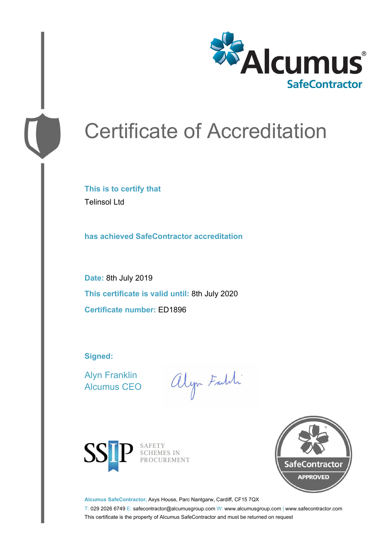

# Certificate of Accreditation

**This is to certify that** Telinsol Ltd

**has achieved SafeContractor accreditation**

**Date:** 8th July 2019 **This certificate is valid until:** 8th July 2020 **Certificate number:** ED1896

**Signed:**

Alyn Franklin Alcumus CEO

alyn Faith



SAFETY SCHEMES IN PROCUREMENT



**Alcumus SafeContractor,** Axys House, Parc Nantgarw, Cardiff, CF15 7QX

T: 029 2026 6749 E: safecontractor@alcumusgroup.com W: www.alcumusgroup.com | www.safecontractor.com This certificate is the property of Alcumus SafeContractor and must be returned on request